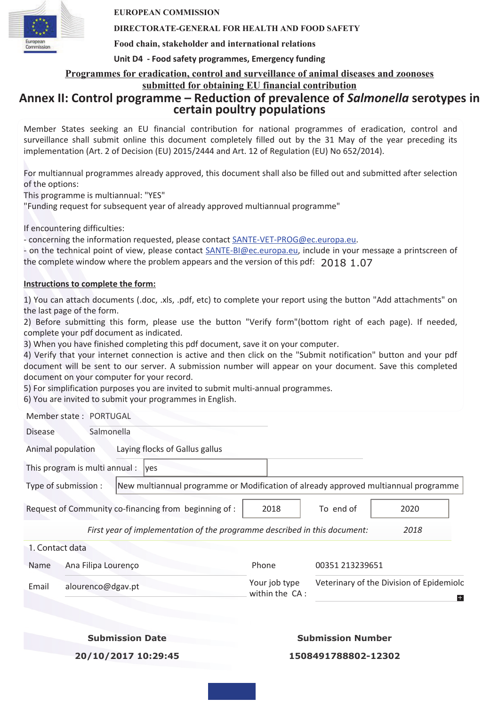

**EUROPEAN COMMISSION** 

### **DIRECTORATE-GENERAL FOR HEALTH AND FOOD SAFETY**

**Food chain, stakeholder and international relations** 

### **Unit D4 - Food safety programmes, Emergency funding**

**Programmes for eradication, control and surveillance of animal diseases and zoonoses** 

### **submitted for obtaining EU financial contribution**

### **Annex II: Control programme – Reduction of prevalence of** *Salmonella* **serotypes in certain poultry populations**

Member States seeking an EU financial contribution for national programmes of eradication, control and surveillance shall submit online this document completely filled out by the 31 May of the year preceding its implementation (Art. 2 of Decision (EU) 2015/2444 and Art. 12 of Regulation (EU) No 652/2014).

For multiannual programmes already approved, this document shall also be filled out and submitted after selection of the options:

This programme is multiannual: "YES"

"Funding request for subsequent year of already approved multiannual programme"

If encountering difficulties:

- concerning the information requested, please contact SANTE-VET-PROG@ec.europa.eu.

- on the technical point of view, please contact SANTE-BI@ec.europa.eu, include in your message a printscreen of the complete window where the problem appears and the version of this pdf:  $2018, 1.07$ 

### **Instructions to complete the form:**

1) You can attach documents (.doc, .xls, .pdf, etc) to complete your report using the button "Add attachments" on the last page of the form.

2) Before submitting this form, please use the button "Verify form"(bottom right of each page). If needed, complete your pdf document as indicated.

3) When you have finished completing this pdf document, save it on your computer.

4) Verify that your internet connection is active and then click on the "Submit notification" button and your pdf document will be sent to our server. A submission number will appear on your document. Save this completed document on your computer for your record.

5) For simplification purposes you are invited to submit multi-annual programmes.

6) You are invited to submit your programmes in English.

Member state : PORTUGAL

Disease Salmonella Animal population Laying flocks of Gallus gallus This program is multi annual :  $\sqrt{v}$ Type of submission : New multiannual programme or Modification of already approved multiannual programme Request of Community co-financing from beginning of : 2018 To end of 2020 *First year of implementation of the programme described in this document: 2018* 1. Contact data Name Ana Filipa Lourenço **Phone** Phone 00351 213239651 Email alourenco@dgav.pt Your job type Veterinary of the Division of Epidemiolc within the CA :  $\pm$ 

**Submission Date**

### **Submission Number**

**20/10/2017 10:29:45**

**1508491788802-12302**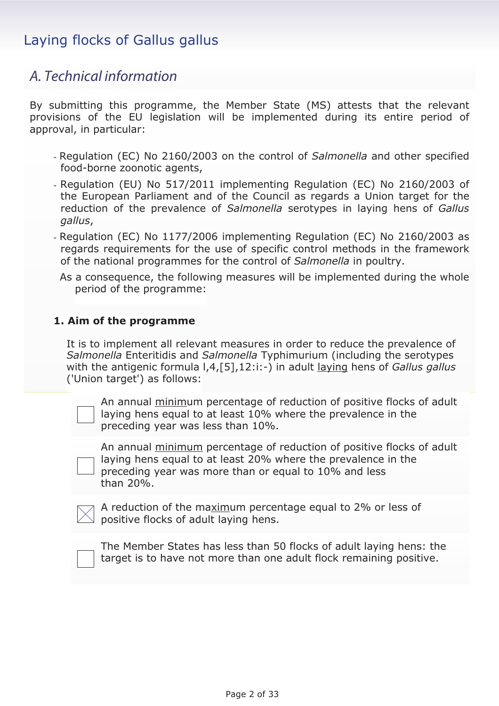### *A. Technical information*

By submitting this programme, the Member State (MS) attests that the relevant provisions of the EU legislation will be implemented during its entire period of approval, in particular:

- Regulation (EC) No 2160/2003 on the control of *Salmonella* and other specified food-borne zoonotic agents,
- Regulation (EU) No 517/2011 implementing Regulation (EC) No 2160/2003 of the European Parliament and of the Council as regards a Union target for the reduction of the prevalence of *Salmonella* serotypes in laying hens of *Gallus gallus*,
- Regulation (EC) No 1177/2006 implementing Regulation (EC) No 2160/2003 as regards requirements for the use of specific control methods in the framework of the national programmes for the control of *Salmonella* in poultry.

As a consequence, the following measures will be implemented during the whole period of the programme:

### **1. Aim of the programme**

It is to implement all relevant measures in order to reduce the prevalence of *Salmonella* Enteritidis and *Salmonella* Typhimurium (including the serotypes with the antigenic formula l,4,[5],12:i:-) in adult laying hens of *Gallus gallus* ('Union target') as follows:

| An annual minimum percentage of reduction of positive flocks of adult |
|-----------------------------------------------------------------------|
| laying hens equal to at least 10% where the prevalence in the         |
| preceding year was less than 10%.                                     |

An annual minimum percentage of reduction of positive flocks of adult laying hens equal to at least 20% where the prevalence in the preceding year was more than or equal to 10% and less than 20%.

| $\gamma$ A reduction of the maximum percentage equal to 2% or less of |  |
|-----------------------------------------------------------------------|--|
| $\trianglelefteq$ positive flocks of adult laying hens.               |  |

| The Member States has less than 50 flocks of adult laying hens: the |
|---------------------------------------------------------------------|
| target is to have not more than one adult flock remaining positive. |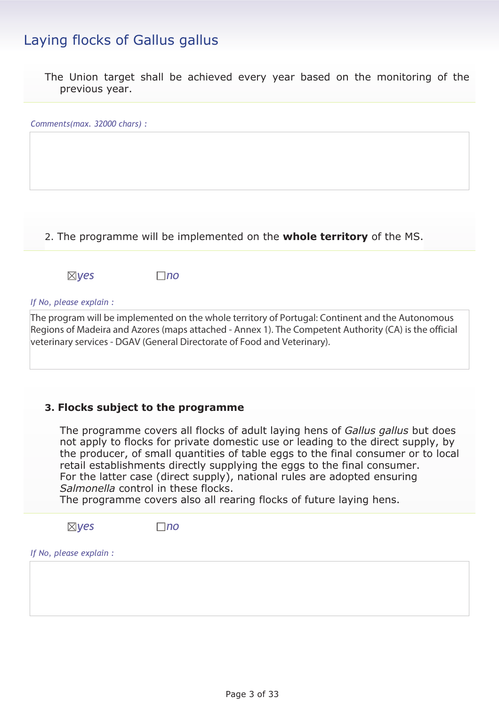The Union target shall be achieved every year based on the monitoring of the previous year.

| Comments(max. 32000 chars) : |           |                                                                        |  |
|------------------------------|-----------|------------------------------------------------------------------------|--|
|                              |           |                                                                        |  |
|                              |           |                                                                        |  |
|                              |           |                                                                        |  |
|                              |           |                                                                        |  |
|                              |           | 2. The programme will be implemented on the whole territory of the MS. |  |
| $\boxtimes$ yes              | $\Box$ no |                                                                        |  |
| If No, please explain :      |           |                                                                        |  |

The program will be implemented on the whole territory of Portugal: Continent and the Autonomous Regions of Madeira and Azores (maps attached - Annex 1). The Competent Authority (CA) is the official veterinary services - DGAV (General Directorate of Food and Veterinary).

### **3. Flocks subject to the programme**

The programme covers all flocks of adult laying hens of *Gallus gallus* but does not apply to flocks for private domestic use or leading to the direct supply, by the producer, of small quantities of table eggs to the final consumer or to local retail establishments directly supplying the eggs to the final consumer. For the latter case (direct supply), national rules are adopted ensuring *Salmonella* control in these flocks.

The programme covers also all rearing flocks of future laying hens.

*yes no*

*If No, please explain :*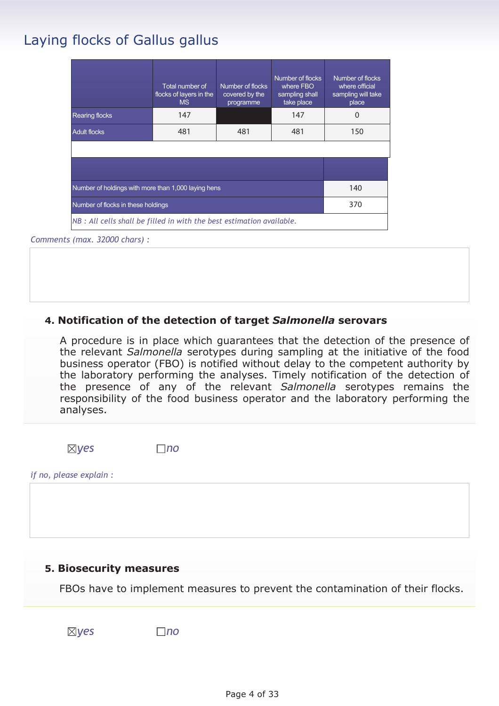|                                                                       | Total number of<br>flocks of layers in the<br><b>MS</b> | Number of flocks<br>covered by the<br>programme | Number of flocks<br>where FBO<br>sampling shall<br>take place | Number of flocks<br>where official<br>sampling will take<br>place |
|-----------------------------------------------------------------------|---------------------------------------------------------|-------------------------------------------------|---------------------------------------------------------------|-------------------------------------------------------------------|
| <b>Rearing flocks</b>                                                 | 147                                                     |                                                 | 147                                                           | 0                                                                 |
| <b>Adult flocks</b>                                                   | 481                                                     | 481                                             | 481                                                           | 150                                                               |
|                                                                       |                                                         |                                                 |                                                               |                                                                   |
|                                                                       |                                                         |                                                 |                                                               |                                                                   |
| Number of holdings with more than 1,000 laying hens                   |                                                         |                                                 |                                                               | 140                                                               |
| Number of flocks in these holdings                                    |                                                         |                                                 |                                                               | 370                                                               |
| NB : All cells shall be filled in with the best estimation available. |                                                         |                                                 |                                                               |                                                                   |

### *Comments (max. 32000 chars) :*

### **4. Notification of the detection of target** *Salmonella* **serovars**

A procedure is in place which guarantees that the detection of the presence of the relevant *Salmonella* serotypes during sampling at the initiative of the food business operator (FBO) is notified without delay to the competent authority by the laboratory performing the analyses. Timely notification of the detection of the presence of any of the relevant *Salmonella* serotypes remains the responsibility of the food business operator and the laboratory performing the analyses.

*yes no*

*if no, please explain :* 

### **5. Biosecurity measures**

FBOs have to implement measures to prevent the contamination of their flocks.

*yes no*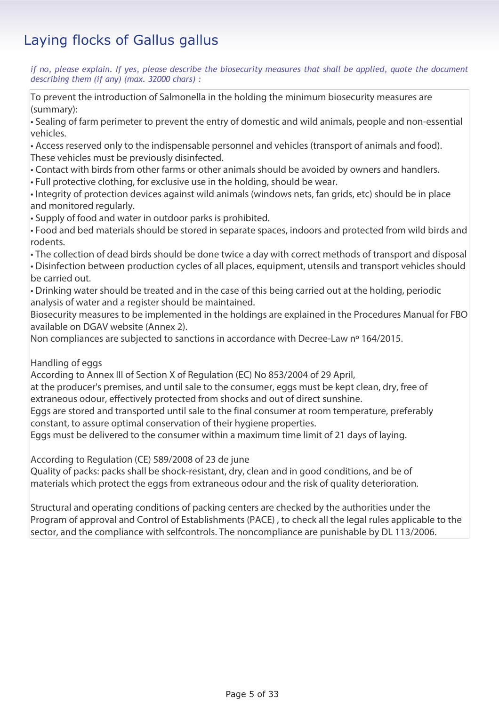*if no, please explain. If yes, please describe the biosecurity measures that shall be applied, quote the document describing them (if any) (max. 32000 chars) :* 

To prevent the introduction of Salmonella in the holding the minimum biosecurity measures are (summary):

• Sealing of farm perimeter to prevent the entry of domestic and wild animals, people and non-essential vehicles.

• Access reserved only to the indispensable personnel and vehicles (transport of animals and food). These vehicles must be previously disinfected.

• Contact with birds from other farms or other animals should be avoided by owners and handlers.

• Full protective clothing, for exclusive use in the holding, should be wear.

• Integrity of protection devices against wild animals (windows nets, fan grids, etc) should be in place and monitored regularly.

• Supply of food and water in outdoor parks is prohibited.

• Food and bed materials should be stored in separate spaces, indoors and protected from wild birds and rodents.

• The collection of dead birds should be done twice a day with correct methods of transport and disposal • Disinfection between production cycles of all places, equipment, utensils and transport vehicles should be carried out.

• Drinking water should be treated and in the case of this being carried out at the holding, periodic analysis of water and a register should be maintained.

Biosecurity measures to be implemented in the holdings are explained in the Procedures Manual for FBO available on DGAV website (Annex 2).

Non compliances are subjected to sanctions in accordance with Decree-Law nº 164/2015.

Handling of eggs

According to Annex III of Section X of Regulation (EC) No 853/2004 of 29 April,

at the producer's premises, and until sale to the consumer, eggs must be kept clean, dry, free of extraneous odour, effectively protected from shocks and out of direct sunshine.

Eggs are stored and transported until sale to the final consumer at room temperature, preferably constant, to assure optimal conservation of their hygiene properties.

Eggs must be delivered to the consumer within a maximum time limit of 21 days of laying.

According to Regulation (CE) 589/2008 of 23 de june

Quality of packs: packs shall be shock-resistant, dry, clean and in good conditions, and be of materials which protect the eggs from extraneous odour and the risk of quality deterioration.

Structural and operating conditions of packing centers are checked by the authorities under the Program of approval and Control of Establishments (PACE) , to check all the legal rules applicable to the sector, and the compliance with selfcontrols. The noncompliance are punishable by DL 113/2006.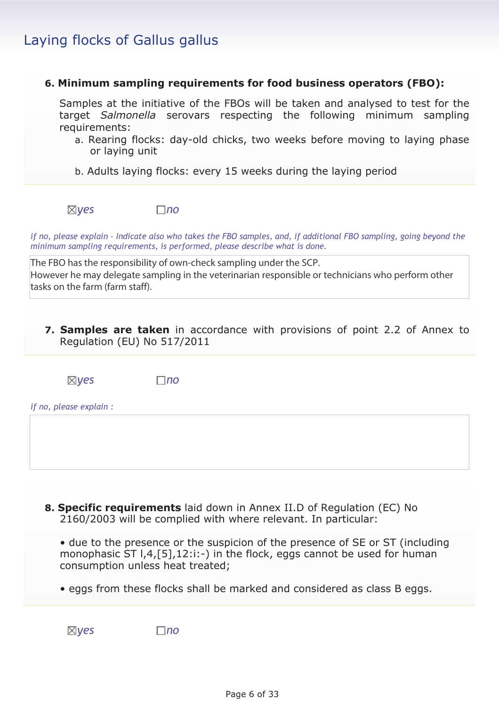### **6. Minimum sampling requirements for food business operators (FBO):**

Samples at the initiative of the FBOs will be taken and analysed to test for the target *Salmonella* serovars respecting the following minimum sampling requirements:

- a. Rearing flocks: day-old chicks, two weeks before moving to laying phase or laying unit
- b. Adults laying flocks: every 15 weeks during the laying period



*if no, please explain - Indicate also who takes the FBO samples, and, if additional FBO sampling, going beyond the minimum sampling requirements, is performed, please describe what is done.* 

The FBO has the responsibility of own-check sampling under the SCP. However he may delegate sampling in the veterinarian responsible or technicians who perform other tasks on the farm (farm staff).

**7. Samples are taken** in accordance with provisions of point 2.2 of Annex to Regulation (EU) No 517/2011

*yes no*

*if no, please explain :*

**8. Specific requirements** laid down in Annex II.D of Regulation (EC) No 2160/2003 will be complied with where relevant. In particular:

• due to the presence or the suspicion of the presence of SE or ST (including monophasic ST  $1,4$ , [5], 12:i:-) in the flock, eggs cannot be used for human consumption unless heat treated;

• eggs from these flocks shall be marked and considered as class B eggs.

*yes no*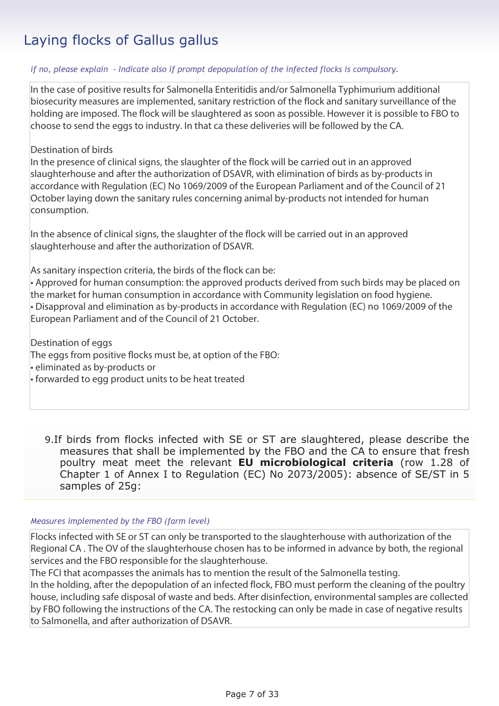### *if no, please explain - Indicate also if prompt depopulation of the infected flocks is compulsory.*

In the case of positive results for Salmonella Enteritidis and/or Salmonella Typhimurium additional biosecurity measures are implemented, sanitary restriction of the flock and sanitary surveillance of the holding are imposed. The flock will be slaughtered as soon as possible. However it is possible to FBO to choose to send the eggs to industry. In that ca these deliveries will be followed by the CA.

### Destination of birds

In the presence of clinical signs, the slaughter of the flock will be carried out in an approved slaughterhouse and after the authorization of DSAVR, with elimination of birds as by-products in accordance with Regulation (EC) No 1069/2009 of the European Parliament and of the Council of 21 October laying down the sanitary rules concerning animal by-products not intended for human consumption.

In the absence of clinical signs, the slaughter of the flock will be carried out in an approved slaughterhouse and after the authorization of DSAVR.

As sanitary inspection criteria, the birds of the flock can be:

• Approved for human consumption: the approved products derived from such birds may be placed on the market for human consumption in accordance with Community legislation on food hygiene. • Disapproval and elimination as by-products in accordance with Regulation (EC) no 1069/2009 of the European Parliament and of the Council of 21 October.

Destination of eggs The eggs from positive flocks must be, at option of the FBO: • eliminated as by-products or

• forwarded to egg product units to be heat treated

9.If birds from flocks infected with SE or ST are slaughtered, please describe the measures that shall be implemented by the FBO and the CA to ensure that fresh poultry meat meet the relevant **EU microbiological criteria** (row 1.28 of Chapter 1 of Annex I to Regulation (EC) No 2073/2005): absence of SE/ST in 5 samples of 25g:

### *Measures implemented by the FBO (farm level)*

Flocks infected with SE or ST can only be transported to the slaughterhouse with authorization of the Regional CA . The OV of the slaughterhouse chosen has to be informed in advance by both, the regional services and the FBO responsible for the slaughterhouse.

The FCI that acompasses the animals has to mention the result of the Salmonella testing.

In the holding, after the depopulation of an infected flock, FBO must perform the cleaning of the poultry house, including safe disposal of waste and beds. After disinfection, environmental samples are collected by FBO following the instructions of the CA. The restocking can only be made in case of negative results to Salmonella, and after authorization of DSAVR.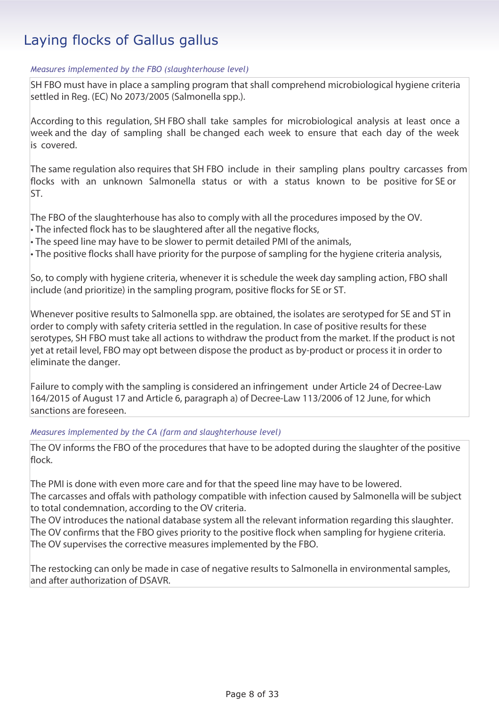### *Measures implemented by the FBO (slaughterhouse level)*

SH FBO must have in place a sampling program that shall comprehend microbiological hygiene criteria settled in Reg. (EC) No 2073/2005 (Salmonella spp.).

According to this regulation, SH FBO shall take samples for microbiological analysis at least once a week and the day of sampling shall be changed each week to ensure that each day of the week is covered.

The same regulation also requires that SH FBO include in their sampling plans poultry carcasses from flocks with an unknown Salmonella status or with a status known to be positive for SE or ST.

The FBO of the slaughterhouse has also to comply with all the procedures imposed by the OV. • The infected flock has to be slaughtered after all the negative flocks,

• The speed line may have to be slower to permit detailed PMI of the animals,

• The positive flocks shall have priority for the purpose of sampling for the hygiene criteria analysis,

So, to comply with hygiene criteria, whenever it is schedule the week day sampling action, FBO shall include (and prioritize) in the sampling program, positive flocks for SE or ST.

Whenever positive results to Salmonella spp. are obtained, the isolates are serotyped for SE and ST in order to comply with safety criteria settled in the regulation. In case of positive results for these serotypes, SH FBO must take all actions to withdraw the product from the market. If the product is not yet at retail level, FBO may opt between dispose the product as by-product or process it in order to eliminate the danger.

Failure to comply with the sampling is considered an infringement under Article 24 of Decree-Law 164/2015 of August 17 and Article 6, paragraph a) of Decree-Law 113/2006 of 12 June, for which sanctions are foreseen.

*Measures implemented by the CA (farm and slaughterhouse level)*

The OV informs the FBO of the procedures that have to be adopted during the slaughter of the positive flock.

The PMI is done with even more care and for that the speed line may have to be lowered. The carcasses and offals with pathology compatible with infection caused by Salmonella will be subject to total condemnation, according to the OV criteria.

The OV introduces the national database system all the relevant information regarding this slaughter. The OV confirms that the FBO gives priority to the positive flock when sampling for hygiene criteria. The OV supervises the corrective measures implemented by the FBO.

The restocking can only be made in case of negative results to Salmonella in environmental samples, and after authorization of DSAVR.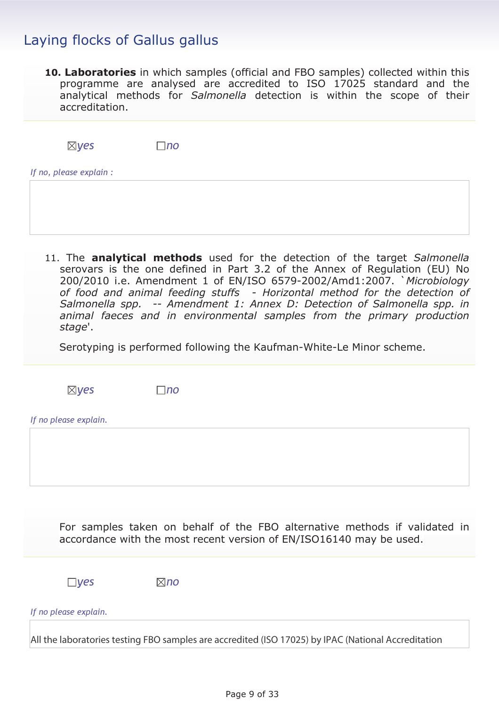**10. Laboratories** in which samples (official and FBO samples) collected within this programme are analysed are accredited to ISO 17025 standard and the analytical methods for *Salmonella* detection is within the scope of their accreditation.

| $\boxtimes$ yes         | $\Box$ no |
|-------------------------|-----------|
| If no, please explain : |           |

11. The **analytical methods** used for the detection of the target *Salmonella* serovars is the one defined in Part 3.2 of the Annex of Regulation (EU) No 200/2010 i.e. Amendment 1 of EN/ISO 6579-2002/Amd1:2007. `*Microbiology of food and animal feeding stuffs - Horizontal method for the detection of Salmonella spp. -- Amendment 1: Annex D: Detection of Salmonella spp. in animal faeces and in environmental samples from the primary production stage*'.

Serotyping is performed following the Kaufman-White-Le Minor scheme.

*yes no*

*If no please explain.*

For samples taken on behalf of the FBO alternative methods if validated in accordance with the most recent version of EN/ISO16140 may be used.

*yes no*

*If no please explain.*

All the laboratories testing FBO samples are accredited (ISO 17025) by IPAC (National Accreditation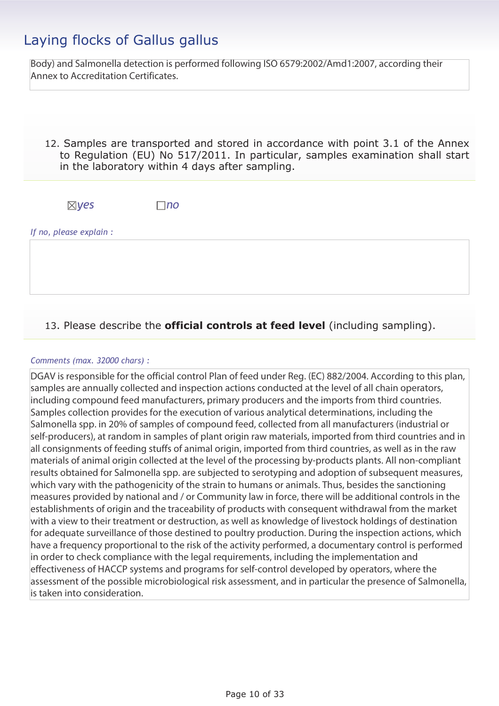Body) and Salmonella detection is performed following ISO 6579:2002/Amd1:2007, according their Annex to Accreditation Certificates.

12. Samples are transported and stored in accordance with point 3.1 of the Annex to Regulation (EU) No 517/2011. In particular, samples examination shall start in the laboratory within 4 days after sampling.

*yes no*

*If no, please explain :*

### 13. Please describe the **official controls at feed level** (including sampling).

### *Comments (max. 32000 chars) :*

DGAV is responsible for the official control Plan of feed under Reg. (EC) 882/2004. According to this plan, samples are annually collected and inspection actions conducted at the level of all chain operators, including compound feed manufacturers, primary producers and the imports from third countries. Samples collection provides for the execution of various analytical determinations, including the Salmonella spp. in 20% of samples of compound feed, collected from all manufacturers (industrial or self-producers), at random in samples of plant origin raw materials, imported from third countries and in all consignments of feeding stuffs of animal origin, imported from third countries, as well as in the raw materials of animal origin collected at the level of the processing by-products plants. All non-compliant results obtained for Salmonella spp. are subjected to serotyping and adoption of subsequent measures, which vary with the pathogenicity of the strain to humans or animals. Thus, besides the sanctioning measures provided by national and / or Community law in force, there will be additional controls in the establishments of origin and the traceability of products with consequent withdrawal from the market with a view to their treatment or destruction, as well as knowledge of livestock holdings of destination for adequate surveillance of those destined to poultry production. During the inspection actions, which have a frequency proportional to the risk of the activity performed, a documentary control is performed in order to check compliance with the legal requirements, including the implementation and effectiveness of HACCP systems and programs for self-control developed by operators, where the assessment of the possible microbiological risk assessment, and in particular the presence of Salmonella, is taken into consideration.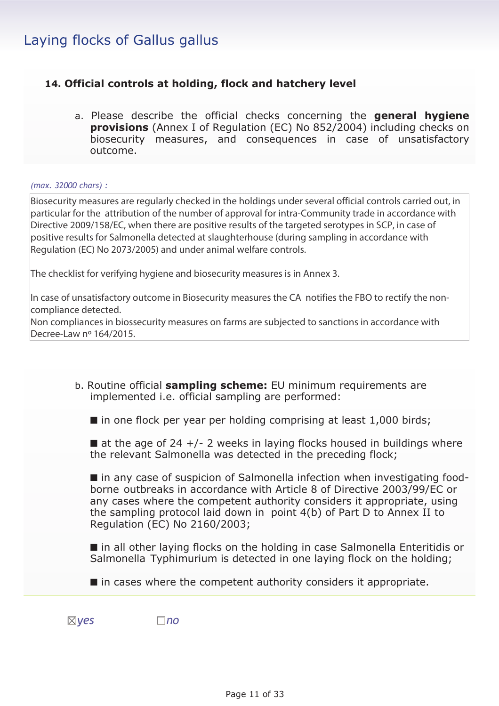### **14. Official controls at holding, flock and hatchery level**

a. Please describe the official checks concerning the **general hygiene provisions** (Annex I of Regulation (EC) No 852/2004) including checks on biosecurity measures, and consequences in case of unsatisfactory outcome.

### *(max. 32000 chars) :*

Biosecurity measures are regularly checked in the holdings under several official controls carried out, in particular for the attribution of the number of approval for intra-Community trade in accordance with Directive 2009/158/EC, when there are positive results of the targeted serotypes in SCP, in case of positive results for Salmonella detected at slaughterhouse (during sampling in accordance with Regulation (EC) No 2073/2005) and under animal welfare controls.

The checklist for verifying hygiene and biosecurity measures is in Annex 3.

In case of unsatisfactory outcome in Biosecurity measures the CA notifies the FBO to rectify the noncompliance detected.

Non compliances in biossecurity measures on farms are subjected to sanctions in accordance with Decree-Law nº 164/2015.

| b. Routine official sampling scheme: EU minimum requirements are |  |
|------------------------------------------------------------------|--|
| implemented i.e. official sampling are performed:                |  |

 $\blacksquare$  in one flock per year per holding comprising at least 1,000 birds;

 $\blacksquare$  at the age of 24 +/- 2 weeks in laying flocks housed in buildings where the relevant Salmonella was detected in the preceding flock;

■ in any case of suspicion of Salmonella infection when investigating foodborne outbreaks in accordance with Article 8 of Directive 2003/99/EC or any cases where the competent authority considers it appropriate, using the sampling protocol laid down in point 4(b) of Part D to Annex II to Regulation (EC) No 2160/2003;

■ in all other laying flocks on the holding in case Salmonella Enteritidis or Salmonella Typhimurium is detected in one laying flock on the holding;

■ in cases where the competent authority considers it appropriate.

*yes no*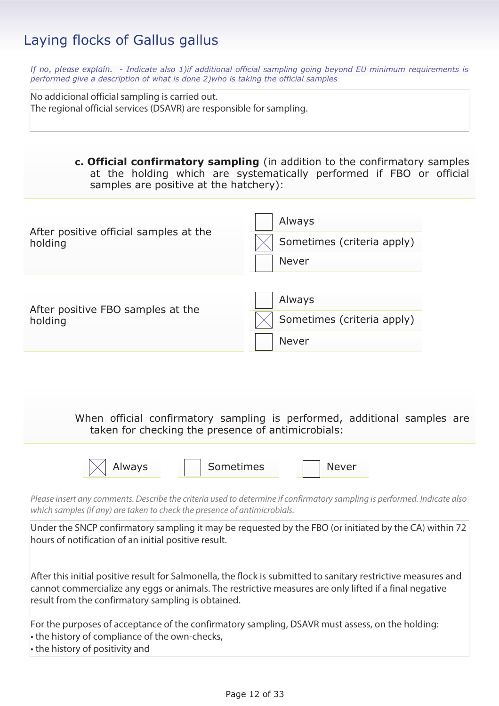*If no, please explain. - Indicate also 1)if additional official sampling going beyond EU minimum requirements is performed give a description of what is done 2)who is taking the official samples*

No addicional official sampling is carried out. The regional official services (DSAVR) are responsible for sampling.

> **c. Official confirmatory sampling** (in addition to the confirmatory samples at the holding which are systematically performed if FBO or official samples are positive at the hatchery):

| After positive official samples at the<br>holding | Always<br>Sometimes (criteria apply)<br><b>Never</b> |
|---------------------------------------------------|------------------------------------------------------|
| After positive FBO samples at the<br>holding      | Always<br>Sometimes (criteria apply)<br><b>Never</b> |

When official confirmatory sampling is performed, additional samples are taken for checking the presence of antimicrobials:

Always | Sometimes | Never

*Please insert any comments. Describe the criteria used to determine if confirmatory sampling is performed. Indicate also which samples (if any) are taken to check the presence of antimicrobials.* 

Under the SNCP confirmatory sampling it may be requested by the FBO (or initiated by the CA) within 72 hours of notification of an initial positive result.

After this initial positive result for Salmonella, the flock is submitted to sanitary restrictive measures and cannot commercialize any eggs or animals. The restrictive measures are only lifted if a final negative result from the confirmatory sampling is obtained.

For the purposes of acceptance of the confirmatory sampling, DSAVR must assess, on the holding:

- the history of compliance of the own-checks,
- the history of positivity and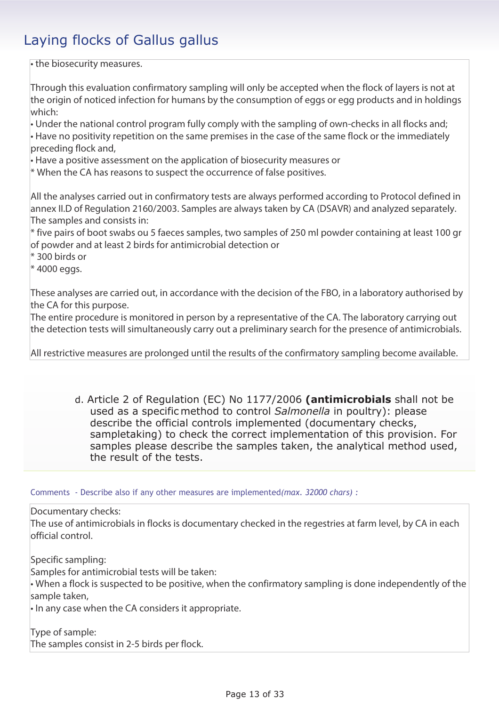• the biosecurity measures.

Through this evaluation confirmatory sampling will only be accepted when the flock of layers is not at the origin of noticed infection for humans by the consumption of eggs or egg products and in holdings which:

• Under the national control program fully comply with the sampling of own-checks in all flocks and; • Have no positivity repetition on the same premises in the case of the same flock or the immediately preceding flock and,

• Have a positive assessment on the application of biosecurity measures or

\* When the CA has reasons to suspect the occurrence of false positives.

All the analyses carried out in confirmatory tests are always performed according to Protocol defined in annex II.D of Regulation 2160/2003. Samples are always taken by CA (DSAVR) and analyzed separately. The samples and consists in:

\* five pairs of boot swabs ou 5 faeces samples, two samples of 250 ml powder containing at least 100 gr of powder and at least 2 birds for antimicrobial detection or

\* 300 birds or

 $*$  4000 eggs.

These analyses are carried out, in accordance with the decision of the FBO, in a laboratory authorised by the CA for this purpose.

The entire procedure is monitored in person by a representative of the CA. The laboratory carrying out the detection tests will simultaneously carry out a preliminary search for the presence of antimicrobials.

All restrictive measures are prolonged until the results of the confirmatory sampling become available.

d. Article 2 of Regulation (EC) No 1177/2006 **(antimicrobials** shall not be used as a specific method to control *Salmonella* in poultry): please describe the official controls implemented (documentary checks, sampletaking) to check the correct implementation of this provision. For samples please describe the samples taken, the analytical method used, the result of the tests.

Comments - Describe also if any other measures are implemented*(max. 32000 chars) :* 

Documentary checks:

The use of antimicrobials in flocks is documentary checked in the regestries at farm level, by CA in each official control.

Specific sampling:

Samples for antimicrobial tests will be taken:

• When a flock is suspected to be positive, when the confirmatory sampling is done independently of the sample taken,

• In any case when the CA considers it appropriate.

Type of sample: The samples consist in 2-5 birds per flock.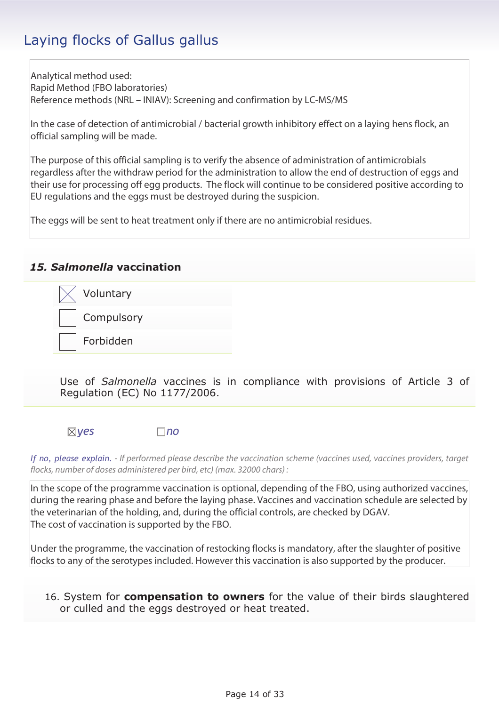Analytical method used: Rapid Method (FBO laboratories) Reference methods (NRL – INIAV): Screening and confirmation by LC-MS/MS

In the case of detection of antimicrobial / bacterial growth inhibitory effect on a laying hens flock, an official sampling will be made.

The purpose of this official sampling is to verify the absence of administration of antimicrobials regardless after the withdraw period for the administration to allow the end of destruction of eggs and their use for processing off egg products. The flock will continue to be considered positive according to EU regulations and the eggs must be destroyed during the suspicion.

The eggs will be sent to heat treatment only if there are no antimicrobial residues.

### *15. Salmonella* **vaccination**



Use of *Salmonella* vaccines is in compliance with provisions of Article 3 of Regulation (EC) No 1177/2006.

*yes no*

*If no, please explain. - If performed please describe the vaccination scheme (vaccines used, vaccines providers, target flocks, number of doses administered per bird, etc) (max. 32000 chars) :* 

In the scope of the programme vaccination is optional, depending of the FBO, using authorized vaccines, during the rearing phase and before the laying phase. Vaccines and vaccination schedule are selected by the veterinarian of the holding, and, during the official controls, are checked by DGAV. The cost of vaccination is supported by the FBO.

Under the programme, the vaccination of restocking flocks is mandatory, after the slaughter of positive flocks to any of the serotypes included. However this vaccination is also supported by the producer.

16. System for **compensation to owners** for the value of their birds slaughtered or culled and the eggs destroyed or heat treated.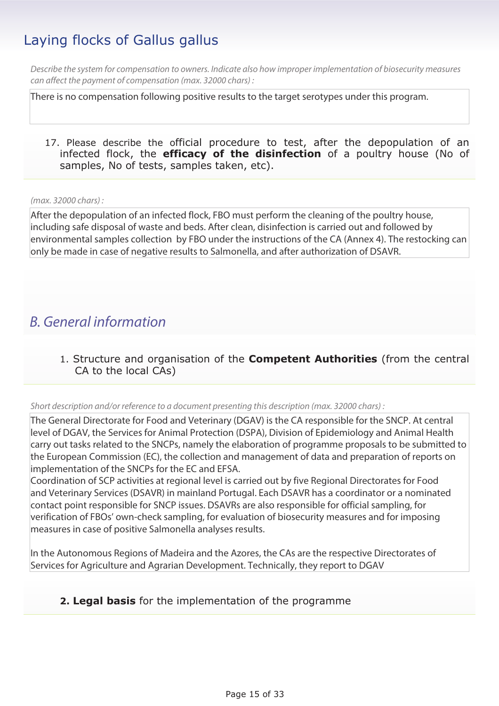*Describe the system for compensation to owners. Indicate also how improper implementation of biosecurity measures can affect the payment of compensation (max. 32000 chars) :* 

There is no compensation following positive results to the target serotypes under this program.

17. Please describe the official procedure to test, after the depopulation of an infected flock, the **efficacy of the disinfection** of a poultry house (No of samples, No of tests, samples taken, etc).

### *(max. 32000 chars) :*

After the depopulation of an infected flock, FBO must perform the cleaning of the poultry house, including safe disposal of waste and beds. After clean, disinfection is carried out and followed by environmental samples collection by FBO under the instructions of the CA (Annex 4). The restocking can only be made in case of negative results to Salmonella, and after authorization of DSAVR.

### *B. General information*

1. Structure and organisation of the **Competent Authorities** (from the central CA to the local CAs)

### *Short description and/or reference to a document presenting this description (max. 32000 chars) :*

The General Directorate for Food and Veterinary (DGAV) is the CA responsible for the SNCP. At central level of DGAV, the Services for Animal Protection (DSPA), Division of Epidemiology and Animal Health carry out tasks related to the SNCPs, namely the elaboration of programme proposals to be submitted to the European Commission (EC), the collection and management of data and preparation of reports on implementation of the SNCPs for the EC and EFSA.

Coordination of SCP activities at regional level is carried out by five Regional Directorates for Food and Veterinary Services (DSAVR) in mainland Portugal. Each DSAVR has a coordinator or a nominated contact point responsible for SNCP issues. DSAVRs are also responsible for official sampling, for verification of FBOs' own-check sampling, for evaluation of biosecurity measures and for imposing measures in case of positive Salmonella analyses results.

In the Autonomous Regions of Madeira and the Azores, the CAs are the respective Directorates of Services for Agriculture and Agrarian Development. Technically, they report to DGAV

### **2. Legal basis** for the implementation of the programme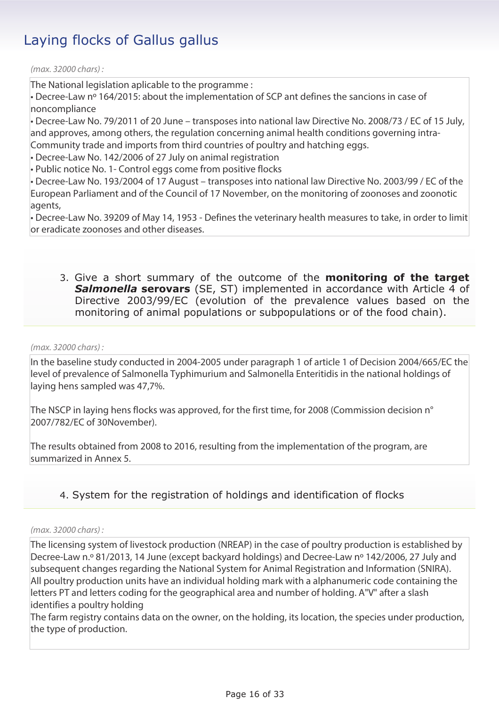*(max. 32000 chars) :* 

The National legislation aplicable to the programme :

• Decree-Law nº 164/2015: about the implementation of SCP ant defines the sancions in case of noncompliance

• Decree-Law No. 79/2011 of 20 June – transposes into national law Directive No. 2008/73 / EC of 15 July, and approves, among others, the regulation concerning animal health conditions governing intra-Community trade and imports from third countries of poultry and hatching eggs.

• Decree-Law No. 142/2006 of 27 July on animal registration

• Public notice No. 1- Control eggs come from positive flocks

• Decree-Law No. 193/2004 of 17 August – transposes into national law Directive No. 2003/99 / EC of the European Parliament and of the Council of 17 November, on the monitoring of zoonoses and zoonotic agents,

• Decree-Law No. 39209 of May 14, 1953 - Defines the veterinary health measures to take, in order to limit or eradicate zoonoses and other diseases.

3. Give a short summary of the outcome of the **monitoring of the target Salmonella serovars** (SE, ST) implemented in accordance with Article 4 of Directive 2003/99/EC (evolution of the prevalence values based on the monitoring of animal populations or subpopulations or of the food chain).

### *(max. 32000 chars) :*

In the baseline study conducted in 2004-2005 under paragraph 1 of article 1 of Decision 2004/665/EC the level of prevalence of Salmonella Typhimurium and Salmonella Enteritidis in the national holdings of laying hens sampled was 47,7%.

The NSCP in laying hens flocks was approved, for the first time, for 2008 (Commission decision n° 2007/782/EC of 30November).

The results obtained from 2008 to 2016, resulting from the implementation of the program, are summarized in Annex 5.

### 4. System for the registration of holdings and identification of flocks

### *(max. 32000 chars) :*

The licensing system of livestock production (NREAP) in the case of poultry production is established by Decree-Law n.º 81/2013, 14 June (except backyard holdings) and Decree-Law nº 142/2006, 27 July and subsequent changes regarding the National System for Animal Registration and Information (SNIRA). All poultry production units have an individual holding mark with a alphanumeric code containing the letters PT and letters coding for the geographical area and number of holding. A"V" after a slash identifies a poultry holding

The farm registry contains data on the owner, on the holding, its location, the species under production, the type of production.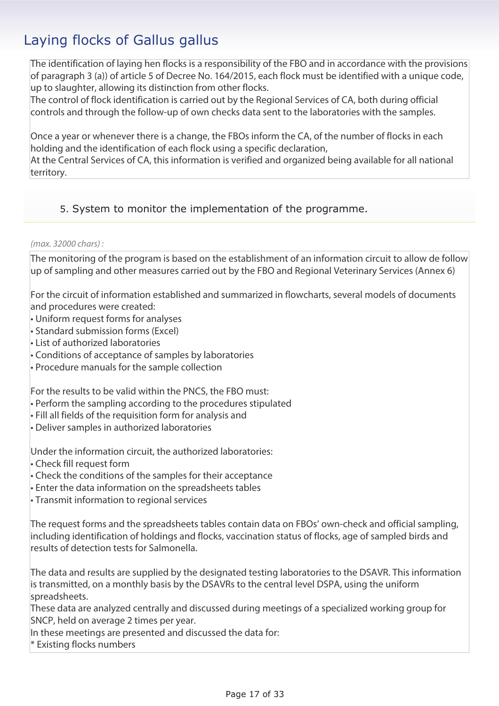The identification of laying hen flocks is a responsibility of the FBO and in accordance with the provisions of paragraph 3 (a)) of article 5 of Decree No. 164/2015, each flock must be identified with a unique code, up to slaughter, allowing its distinction from other flocks.

The control of flock identification is carried out by the Regional Services of CA, both during official controls and through the follow-up of own checks data sent to the laboratories with the samples.

Once a year or whenever there is a change, the FBOs inform the CA, of the number of flocks in each holding and the identification of each flock using a specific declaration,

At the Central Services of CA, this information is verified and organized being available for all national territory.

### 5. System to monitor the implementation of the programme.

### *(max. 32000 chars) :*

The monitoring of the program is based on the establishment of an information circuit to allow de follow up of sampling and other measures carried out by the FBO and Regional Veterinary Services (Annex 6)

For the circuit of information established and summarized in flowcharts, several models of documents and procedures were created:

- Uniform request forms for analyses
- Standard submission forms (Excel)
- List of authorized laboratories
- Conditions of acceptance of samples by laboratories
- Procedure manuals for the sample collection

For the results to be valid within the PNCS, the FBO must:

- Perform the sampling according to the procedures stipulated
- Fill all fields of the requisition form for analysis and
- Deliver samples in authorized laboratories

Under the information circuit, the authorized laboratories:

- Check fill request form
- Check the conditions of the samples for their acceptance
- Enter the data information on the spreadsheets tables
- Transmit information to regional services

The request forms and the spreadsheets tables contain data on FBOs' own-check and official sampling, including identification of holdings and flocks, vaccination status of flocks, age of sampled birds and results of detection tests for Salmonella.

The data and results are supplied by the designated testing laboratories to the DSAVR. This information is transmitted, on a monthly basis by the DSAVRs to the central level DSPA, using the uniform spreadsheets.

These data are analyzed centrally and discussed during meetings of a specialized working group for SNCP, held on average 2 times per year.

In these meetings are presented and discussed the data for:

\* Existing flocks numbers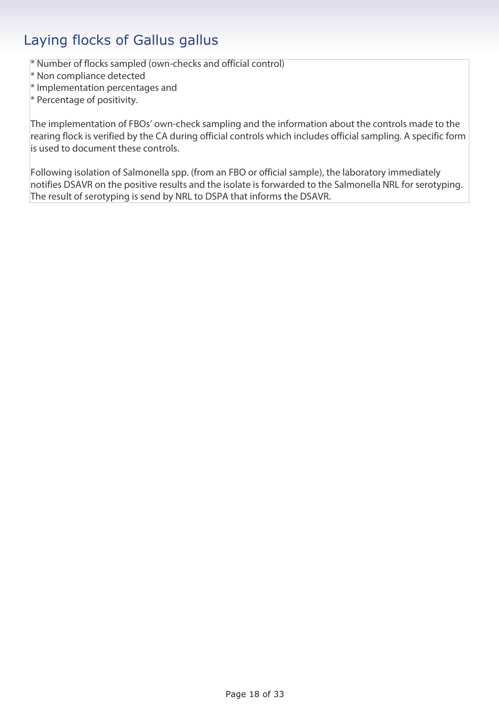\* Number of flocks sampled (own-checks and official control)

\* Non compliance detected

\* Implementation percentages and

\* Percentage of positivity.

The implementation of FBOs' own-check sampling and the information about the controls made to the rearing flock is verified by the CA during official controls which includes official sampling. A specific form is used to document these controls.

Following isolation of Salmonella spp. (from an FBO or official sample), the laboratory immediately notifies DSAVR on the positive results and the isolate is forwarded to the Salmonella NRL for serotyping. The result of serotyping is send by NRL to DSPA that informs the DSAVR.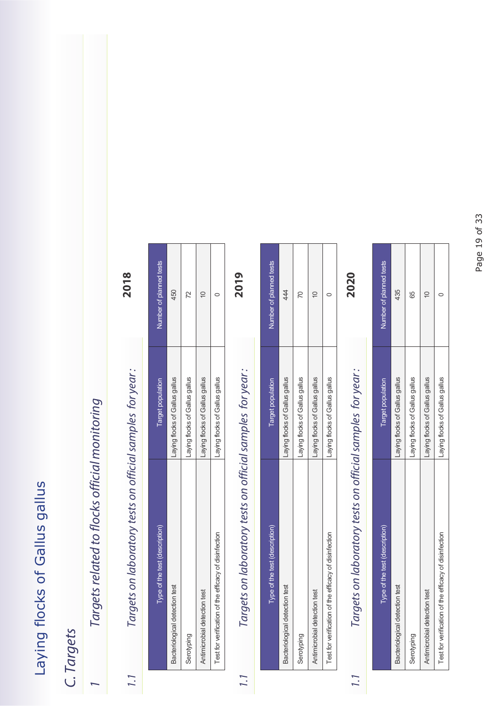### *C. Targets*

## Targets related to flocks official monitoring *1 Targets related to flocks official monitoring*

## *1.1 Targets on laboratory tests on official samples for year :* **2018** Targets on laboratory tests on official samples for year:  $1.1$

2018

| Type of the test (description)                        | Target population              | <b>Jumber of planned tests</b> |
|-------------------------------------------------------|--------------------------------|--------------------------------|
| Bacteriological detection test                        | Laying flocks of Gallus gallus | 450                            |
| Serotyping                                            | aying flocks of Gallus gallus  | 2                              |
| Antimicrobial detection test                          | Laying flocks of Gallus gallus |                                |
| Test for verification of the efficacy of disinfection | aying flocks of Gallus gallus  |                                |

# *1.1 Targets on laboratory tests on official samples for year :* **2019** Targets on laboratory tests on official samples for year:

2019

| Type of the test (description)                        | Target population              | Number of planned tests |
|-------------------------------------------------------|--------------------------------|-------------------------|
| Bacteriological detection test                        | Laying flocks of Gallus gallus | 44                      |
| Serotyping                                            | Laying flocks of Gallus gallus |                         |
| Antimicrobial detection test                          | Laying flocks of Gallus gallus |                         |
| Test for verification of the efficacy of disinfection | Laying flocks of Gallus gallus |                         |

## *1.1 Targets on laboratory tests on official samples for year :* **2020** Targets on laboratory tests on official samples for year: **7.7**

2020

| Type of the test (description)                        | Target population              | Number of planned tests |
|-------------------------------------------------------|--------------------------------|-------------------------|
| Bacteriological detection test                        | Laying flocks of Gallus gallus | 435                     |
| Serotyping                                            | Laying flocks of Gallus gallus | 65                      |
| Antimicrobial detection test                          | aying flocks of Gallus gallus  | ₽                       |
| Test for verification of the efficacy of disinfection | Laying flocks of Gallus gallus |                         |

 $1.1$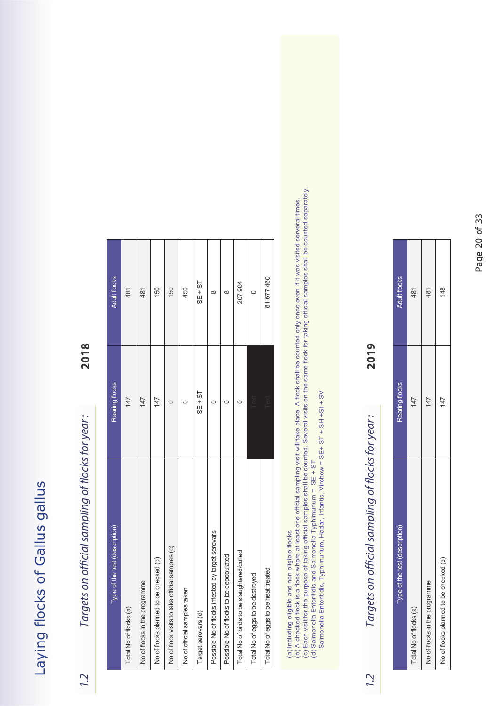# *1.2 Targets on official sampling of flocks for year :* **2018** Targets on official sampling of flocks for year:

 $1.2$ 

2018

| Type of the test (description)                    | Rearing flocks | <b>Adult flocks</b> |
|---------------------------------------------------|----------------|---------------------|
| Total No of flocks (a)                            | 147            | 481                 |
| No of flocks in the programme                     | 147            | 481                 |
| No of flocks planned to be checked (b)            | 147            | 150                 |
| No of flock visits to take official samples (c)   |                | 150                 |
| No of official samples taken                      | ⊂              | 450                 |
| Target serovars (d)                               | $SE + ST$      | $SE + ST$           |
| Possible No of flocks infected by target serovars |                | ∞                   |
| Possible No of flocks to be depopulated           |                | $\infty$            |
| Total No of birds to be slaughtered/culled        |                | 207 904             |
| Total No of eggs to be destroyed                  | Text           | O                   |
| Total No of eggs to be heat treated               | Text           | 81 677 460          |
|                                                   |                |                     |

(a) Including eligible and non eligible flocks

(c) Each visit for the purpose of taking official samples shall be counted. Several visits on the same flock for taking official samples shall be counted separately. (a) Including eligible and non eligible flocks<br>(b) A checked flock is a flock where at least one official sampling visit will take place. A flock shall be counted only once even if it was visited serveral times.<br>(c) Each v (b) A checked flock is a flock where at least one official sampling visit will take place. A flock shall be counted only once even if it was visited serveral times.

(d) Salmonella Enteritidis and Salmonella Typhimurium = SE + ST

Salmonella Enteritidis, Typhimurium, Hadar, Infantis, Virchow = SE+ ST + SH +SI + SV Salmonella Entertainment Entertion, Typhimurium, Hadar, Infantis, Infantis, Infantis, Infantis, Infantis, Infantis, Infantis, Infantis, Infantis, Infantis, Infantis, Infantis, Infantis, Infantis, Infantis, Infantis, Infant

# *1.2 Targets on official sampling of flocks for year :* **2019** Targets on official sampling of flocks for year:

2019

| Type of the test (description)         | Rearing flocks | <b>Adult flocks</b> |
|----------------------------------------|----------------|---------------------|
| Total No of flocks (a)                 | 147            | 481                 |
| No of flocks in the programme          | 147            | 481                 |
| No of flocks planned to be checked (b) | 147            | 148                 |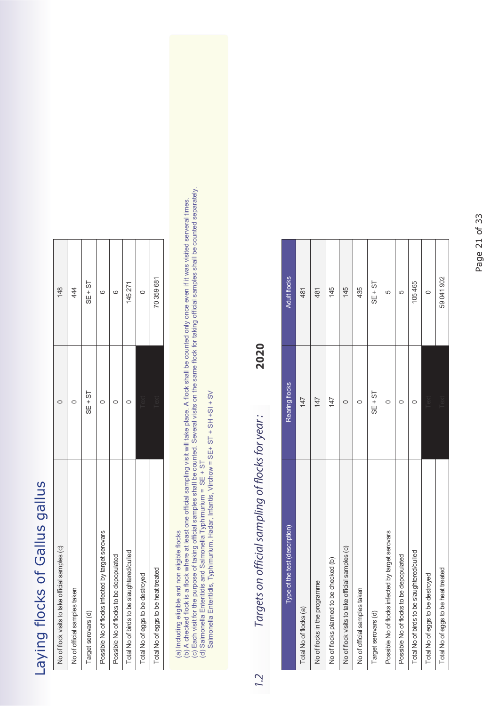| No of flock visits to take official samples (c)   |           | $\frac{8}{1}$ |
|---------------------------------------------------|-----------|---------------|
| No of official samples taken                      |           | 44            |
| Target serovars (d)                               | $SE + ST$ | $SE + ST$     |
| Possible No of flocks infected by target serovars |           | S.            |
| Possible No of flocks to be depopulated           |           | CC.           |
| Total No of birds to be slaughtered/culled        |           | 145 271       |
| Total No of eggs to be destroyed                  |           |               |
| Total No of eggs to be heat treated               | i exi     | 70359681      |

(a) Including eligible and non eligible flocks

(b) A checked flock is a flock where at least one official sampling visit will take place. A flock shall be counted only once even if it was visited serveral times.

(c) Each visit for the purpose of taking official samples shall be counted. Several visits on the same flock for taking official samples shall be counted separately. (a) Including eligible and non eligible flocks<br>(b) A checked flock is a flock where at least one official sampling visit will take place. A flock shall be counted only once even if it was visited serveral times.<br>(c) Each

(d) Salmonella Enteritidis and Salmonella Typhimurium = SE + ST

Salmonella Entertitions, Typhimurium, Hadar, Infantis, Typhimurium, Hadar, Infantis, Typhimurium, Infantis, Typhimurium, Infantis, Typhimurium, Infantis, Typhimurium, Infantis, Typhimurium, Infantis, Typhimurium, Infantis,

# *1.2 Targets on official sampling of flocks for year :* **2020** Targets on official sampling of flocks for year:

2020

| <b>Adult flocks</b>            | 481                    | 481                           | 145                                    | 145                                             | 435                          | $SE + ST$           | 5                                                 | 5                                       | 105465                                     | $\circ$                          | 59041902                            |
|--------------------------------|------------------------|-------------------------------|----------------------------------------|-------------------------------------------------|------------------------------|---------------------|---------------------------------------------------|-----------------------------------------|--------------------------------------------|----------------------------------|-------------------------------------|
| Rearing flocks                 | 147                    | 147                           | 147                                    | c                                               | 0                            | $SE + ST$           | C                                                 |                                         |                                            | Text                             | Text                                |
| Type of the test (description) | Total No of flocks (a) | No of flocks in the programme | No of flocks planned to be checked (b) | No of flock visits to take official samples (c) | No of official samples taken | Target serovars (d) | Possible No of flocks infected by target serovars | Possible No of flocks to be depopulated | Total No of birds to be slaughtered/culled | Total No of eggs to be destroyed | Total No of eggs to be heat treated |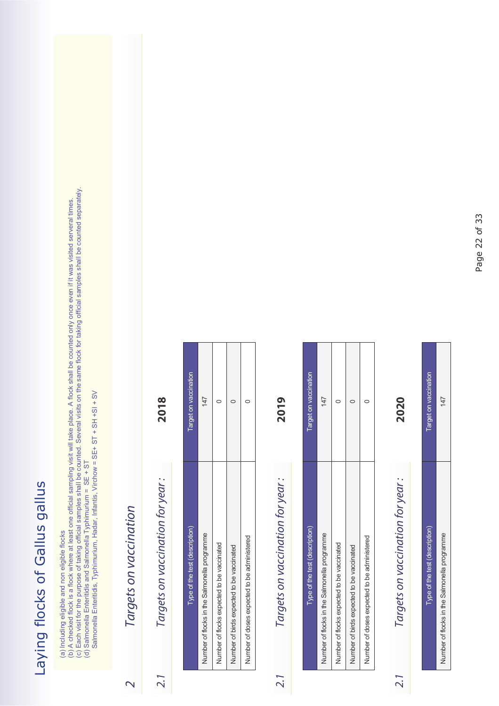(a) Including eligible and non eligible flocks

(c) Each visit for the purpose of taking official samples shall be counted. Several visits on the same flock for taking official samples shall be counted separately. (a) Including eligible and non eligible flocks<br>(b) A checked flock is a flock where at least one official sampling visit will take place. A flock shall be counted only once even if it was visited serveral times.<br>(c) Each (b) A checked flock is a flock where at least one official sampling visit will take place. A flock shall be counted only once even if it was visited serveral times.

(d) Salmonella Enteritidis and Salmonella Typhimurium = SE + ST

Salmonella Entertition, Nicholas, Typhimurium, Hadar, Infantis, Typhimurium, Infantis, Typhimurium, Infantis, Typhimurium, Infantis, Typhimurium, Infantis, Typhimurium, Infantis, Typhimurium, Infantis, Typhimurium, Infanti

### Targets on vaccination *2 Targets on vaccination*

 $\overline{\mathsf{C}}$ 

Targets on vaccination for year: *2.1 Targets on vaccination for year :*   $2.1$ 

**2018**

| Type of the test (description)               | Target on vaccination |
|----------------------------------------------|-----------------------|
| Number of flocks in the Salmonella programme | 147                   |
| Number of flocks expected to be vaccinated   |                       |
| Number of birds expected to be vaccinated    |                       |
| Number of doses expected to be administered  |                       |

## Targets on vaccination for year: *2.1 Targets on vaccination for year :*

 $2.1$ 

**2019**

| Type of the test (description)               | Target on vaccination |
|----------------------------------------------|-----------------------|
| Number of flocks in the Salmonella programme | 147                   |
| Number of flocks expected to be vaccinated   |                       |
| Number of birds expected to be vaccinated    |                       |
| Number of doses expected to be administered  |                       |
|                                              |                       |

## Targets on vaccination for year: *2.1 Targets on vaccination for year :*

 $2.1$ 

**2020**

| ľ<br>f |
|--------|